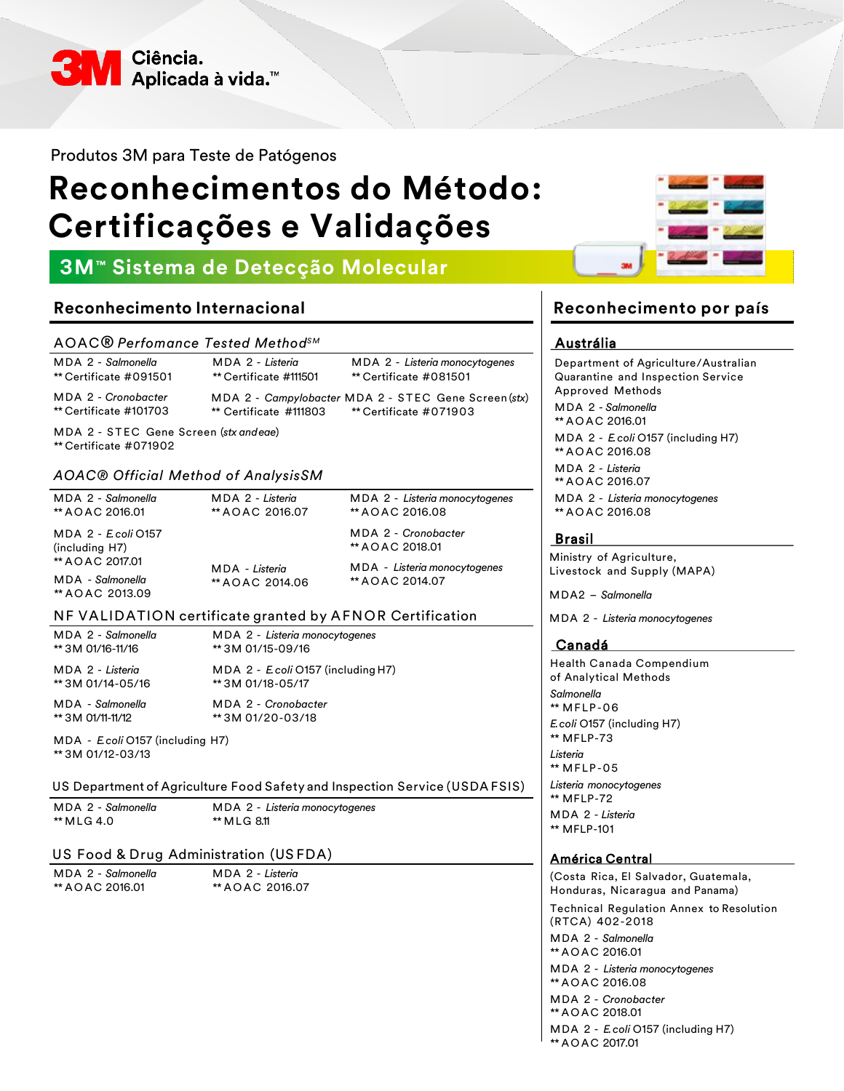

Produtos 3M para Teste de Patógenos

# **Reconhecimentos do Método: Certificações e Validações**

# **3M™ Sistema de Detecção Molecular**

# **Reconhecimento Internacional**

#### AOAC® *Perfomance Tested MethodSM*

| MDA 2 - Salmonella<br>** Certificate #091501  | MDA 2 - Listeria<br>** Certificate #111501 | MDA 2 - Listeria monocytogenes<br>** Certificate #081501                       |
|-----------------------------------------------|--------------------------------------------|--------------------------------------------------------------------------------|
| MDA 2 - Cronobacter<br>** Certificate #101703 | ** Certificate #111803                     | MDA 2 - Campylobacter MDA 2 - STEC Gene Screen (stx)<br>** Certificate #071903 |

MDA 2 - S T E C Gene Screen (*stx andeae*) \*\* Certificate #071902

#### *AOAC® Official Method of AnalysisSM*

MDA 2 - *Salmonella* \*\* A O A C 2016.01

MDA 2 - *Listeria* \*\* A O A C 2016.07

MDA 2 *- E. coli* O157 (including H7) \*\* A O A C 2017.01 MDA - *Salmonella*

MDA - *Listeria* \*\* A O A C 2014.06 MDA 2 - *Cronobacter* \*\* A O A C 2018.01

\*\* A O A C 2016.08

MDA 2 - *Listeria monocytogenes*

MDA - *Listeria monocytogenes* \*\* A O A C 2014.07

#### NF VALIDATION certificate granted by AFNOR Certification

MDA 2 - *Salmonella* \*\* 3M 01/16-11/16

MDA 2 - *Listeria* \*\* 3M 01/14-05/16

\*\* A O A C 2013.09

MDA 2 - *Listeria monocytogenes* \*\* 3M 01/15-09/16 MDA 2 - *E. coli* O157 (including H7) \*\* 3M 01/18-05/17

MDA - *Salmonella* \*\* 3M 01/11-11/12

MDA 2 - *Cronobacter* \*\* 3M 01/20-03/18

MDA - *E. coli* O157 (including H7) \*\* 3M 01/12-03/13

US Department of Agriculture Food Safety and Inspection Service (USDA FSIS)

| MDA 2 - Salmonella |  |  |
|--------------------|--|--|
| ** MLG 4.0         |  |  |

MDA 2 - *Listeria monocytogenes* \*\* M LG 8.11

#### US Food & Drug Administration (US FDA)

| MDA 2 - Salmonella |
|--------------------|
| ** AO AC 2016.01   |

MDA 2 - *Listeria* \*\* A O A C 2016.07

# **Reconhecimento por país**

#### Austrália

Department of Agriculture/Australian Quarantine and Inspection Service Approved Methods MDA 2 *- Salmonella* \*\* A O A C 2016.01 MDA 2 - *E. coli* O157 (including H7) \*\* A O A C 2016.08 MDA 2 - *Listeria* \*\* A O A C 2016.07 MDA 2 - *Listeria monocytogenes* \*\* A O A C 2016.08

#### Brasil

Ministry of Agriculture, Livestock and Supply (MAPA)

MDA2 – *Salmonella*

MDA 2 - *Listeria monocytogenes*

#### Canadá

Health Canada Compendium of Analytical Methods *Salmonella* \*\* MFLP-06 *E. coli* O157 (including H7) \*\* MFLP-73 *Listeria* \*\* MFLP-05 *Listeria monocytogenes* \*\* MFLP-72 MDA 2 *- Listeria* \*\* MFLP-101

#### América Central

(Costa Rica, El Salvador, Guatemala, Honduras, Nicaragua and Panama) Technical Regulation Annex to Resolution (RTCA) 402-2018 MDA 2 - *Salmonella* \*\* A O A C 2016.01 MDA 2 - *Listeria monocytogenes* \*\* A O A C 2016.08 MDA 2 - *Cronobacter* \*\* A O A C 2018.01 MDA 2 - *E. coli* O157 (including H7) \*\* A O A C 2017.01